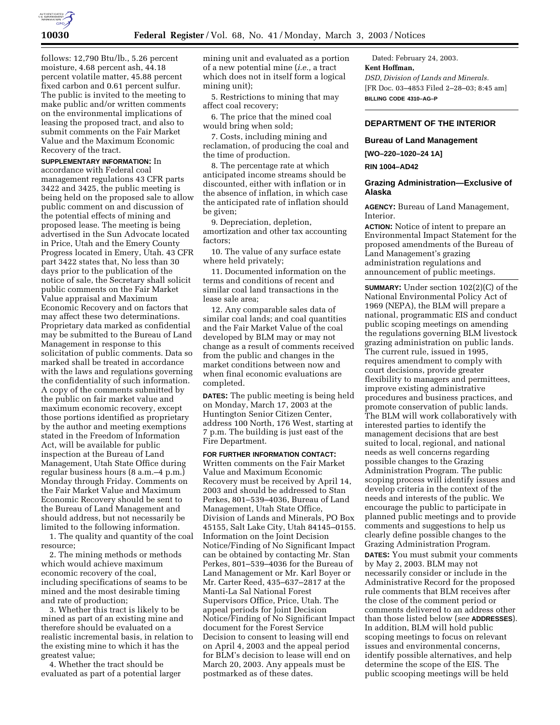

follows: 12,790 Btu/lb., 5.26 percent moisture, 4.68 percent ash, 44.18 percent volatile matter, 45.88 percent fixed carbon and 0.61 percent sulfur. The public is invited to the meeting to make public and/or written comments on the environmental implications of leasing the proposed tract, and also to submit comments on the Fair Market Value and the Maximum Economic Recovery of the tract.

**SUPPLEMENTARY INFORMATION:** In accordance with Federal coal management regulations 43 CFR parts 3422 and 3425, the public meeting is being held on the proposed sale to allow public comment on and discussion of the potential effects of mining and proposed lease. The meeting is being advertised in the Sun Advocate located in Price, Utah and the Emery County Progress located in Emery, Utah. 43 CFR part 3422 states that, No less than 30 days prior to the publication of the notice of sale, the Secretary shall solicit public comments on the Fair Market Value appraisal and Maximum Economic Recovery and on factors that may affect these two determinations. Proprietary data marked as confidential may be submitted to the Bureau of Land Management in response to this solicitation of public comments. Data so marked shall be treated in accordance with the laws and regulations governing the confidentiality of such information. A copy of the comments submitted by the public on fair market value and maximum economic recovery, except those portions identified as proprietary by the author and meeting exemptions stated in the Freedom of Information Act, will be available for public inspection at the Bureau of Land Management, Utah State Office during regular business hours (8 a.m.–4 p.m.) Monday through Friday. Comments on the Fair Market Value and Maximum Economic Recovery should be sent to the Bureau of Land Management and should address, but not necessarily be limited to the following information.

1. The quality and quantity of the coal resource;

2. The mining methods or methods which would achieve maximum economic recovery of the coal, including specifications of seams to be mined and the most desirable timing and rate of production;

3. Whether this tract is likely to be mined as part of an existing mine and therefore should be evaluated on a realistic incremental basis, in relation to the existing mine to which it has the greatest value;

4. Whether the tract should be evaluated as part of a potential larger mining unit and evaluated as a portion of a new potential mine (*i.e.,* a tract which does not in itself form a logical mining unit);

5. Restrictions to mining that may affect coal recovery;

6. The price that the mined coal would bring when sold;

7. Costs, including mining and reclamation, of producing the coal and the time of production.

8. The percentage rate at which anticipated income streams should be discounted, either with inflation or in the absence of inflation, in which case the anticipated rate of inflation should be given;

9. Depreciation, depletion, amortization and other tax accounting factors;

10. The value of any surface estate where held privately;

11. Documented information on the terms and conditions of recent and similar coal land transactions in the lease sale area;

12. Any comparable sales data of similar coal lands; and coal quantities and the Fair Market Value of the coal developed by BLM may or may not change as a result of comments received from the public and changes in the market conditions between now and when final economic evaluations are completed.

**DATES:** The public meeting is being held on Monday, March 17, 2003 at the Huntington Senior Citizen Center, address 100 North, 176 West, starting at 7 p.m. The building is just east of the Fire Department.

**FOR FURTHER INFORMATION CONTACT:** Written comments on the Fair Market Value and Maximum Economic Recovery must be received by April 14, 2003 and should be addressed to Stan Perkes, 801–539–4036, Bureau of Land Management, Utah State Office, Division of Lands and Minerals, PO Box 45155, Salt Lake City, Utah 84145–0155. Information on the Joint Decision Notice/Finding of No Significant Impact can be obtained by contacting Mr. Stan Perkes, 801–539–4036 for the Bureau of Land Management or Mr. Karl Boyer or Mr. Carter Reed, 435–637–2817 at the Manti-La Sal National Forest Supervisors Office, Price, Utah. The appeal periods for Joint Decision Notice/Finding of No Significant Impact document for the Forest Service Decision to consent to leasing will end on April 4, 2003 and the appeal period for BLM's decision to lease will end on March 20, 2003. Any appeals must be postmarked as of these dates.

Dated: February 24, 2003. **Kent Hoffman,**  *DSD, Division of Lands and Minerals.* [FR Doc. 03–4853 Filed 2–28–03; 8:45 am] **BILLING CODE 4310–AG–P**

# **DEPARTMENT OF THE INTERIOR**

### **Bureau of Land Management**

**[WO–220–1020–24 1A]** 

**RIN 1004–AD42** 

### **Grazing Administration—Exclusive of Alaska**

**AGENCY:** Bureau of Land Management, Interior.

**ACTION:** Notice of intent to prepare an Environmental Impact Statement for the proposed amendments of the Bureau of Land Management's grazing administration regulations and announcement of public meetings.

**SUMMARY:** Under section 102(2)(C) of the National Environmental Policy Act of 1969 (NEPA), the BLM will prepare a national, programmatic EIS and conduct public scoping meetings on amending the regulations governing BLM livestock grazing administration on public lands. The current rule, issued in 1995, requires amendment to comply with court decisions, provide greater flexibility to managers and permittees, improve existing administrative procedures and business practices, and promote conservation of public lands. The BLM will work collaboratively with interested parties to identify the management decisions that are best suited to local, regional, and national needs as well concerns regarding possible changes to the Grazing Administration Program. The public scoping process will identify issues and develop criteria in the context of the needs and interests of the public. We encourage the public to participate in planned public meetings and to provide comments and suggestions to help us clearly define possible changes to the Grazing Administration Program. **DATES:** You must submit your comments by May 2, 2003. BLM may not necessarily consider or include in the Administrative Record for the proposed rule comments that BLM receives after the close of the comment period or comments delivered to an address other than those listed below (*see* **ADDRESSES**). In addition, BLM will hold public scoping meetings to focus on relevant issues and environmental concerns, identify possible alternatives, and help determine the scope of the EIS. The public scooping meetings will be held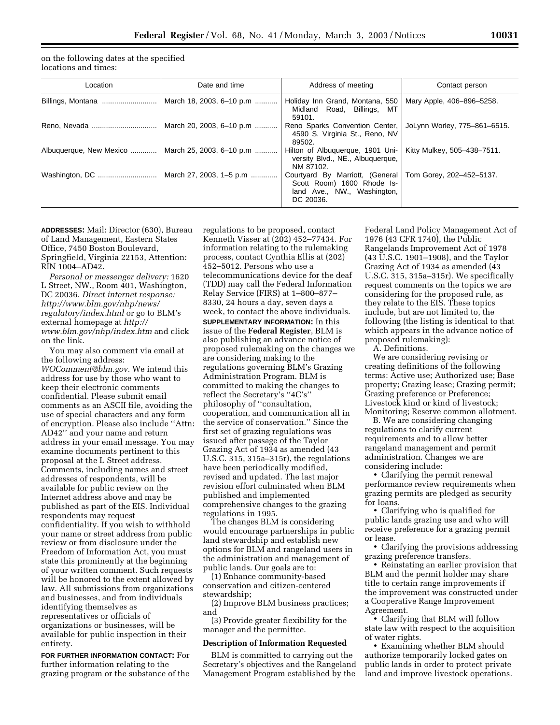on the following dates at the specified locations and times:

| Location                | Date and time            | Address of meeting                                                                                                                   | Contact person               |
|-------------------------|--------------------------|--------------------------------------------------------------------------------------------------------------------------------------|------------------------------|
|                         | March 18, 2003, 6-10 p.m | Holiday Inn Grand, Montana, 550<br>Midland Road, Billings, MT<br>59101.                                                              | Mary Apple, 406-896-5258.    |
|                         | March 20, 2003, 6-10 p.m | Reno Sparks Convention Center,<br>4590 S. Virginia St., Reno, NV<br>89502.                                                           | JoLynn Worley, 775-861-6515. |
| Albuquerque, New Mexico | March 25, 2003, 6-10 p.m | Hilton of Albuquerque, 1901 Uni-<br>versity Blvd., NE., Albuquerque,<br>NM 87102.                                                    | Kitty Mulkey, 505-438-7511.  |
|                         | March 27, 2003, 1–5 p.m  | Courtyard By Marriott, (General   Tom Gorey, 202-452-5137.<br>Scott Room) 1600 Rhode Is-<br>land Ave., NW., Washington,<br>DC 20036. |                              |

**ADDRESSES:** Mail: Director (630), Bureau of Land Management, Eastern States Office, 7450 Boston Boulevard, Springfield, Virginia 22153, Attention: RIN 1004–AD42.

*Personal or messenger delivery:* 1620 L Street, NW., Room 401, Washington, DC 20036. *Direct internet response: http://www.blm.gov/nhp/news/ regulatory/index.html* or go to BLM's external homepage at *http:// www.blm.gov/nhp/index.htm* and click on the link.

You may also comment via email at the following address: *WOComment@blm.gov.* We intend this address for use by those who want to keep their electronic comments confidential. Please submit email comments as an ASCII file, avoiding the use of special characters and any form of encryption. Please also include ''Attn: AD42'' and your name and return address in your email message. You may examine documents pertinent to this proposal at the L Street address. Comments, including names and street addresses of respondents, will be available for public review on the Internet address above and may be published as part of the EIS. Individual respondents may request confidentiality. If you wish to withhold your name or street address from public review or from disclosure under the Freedom of Information Act, you must state this prominently at the beginning of your written comment. Such requests will be honored to the extent allowed by law. All submissions from organizations and businesses, and from individuals identifying themselves as representatives or officials of organizations or businesses, will be available for public inspection in their entirety.

**FOR FURTHER INFORMATION CONTACT:** For further information relating to the grazing program or the substance of the

regulations to be proposed, contact Kenneth Visser at (202) 452–77434. For information relating to the rulemaking process, contact Cynthia Ellis at (202) 452–5012. Persons who use a telecommunications device for the deaf (TDD) may call the Federal Information Relay Service (FIRS) at 1–800–877– 8330, 24 hours a day, seven days a week, to contact the above individuals. **SUPPLEMENTARY INFORMATION:** In this issue of the **Federal Register**, BLM is also publishing an advance notice of proposed rulemaking on the changes we are considering making to the regulations governing BLM's Grazing Administration Program. BLM is committed to making the changes to reflect the Secretary's ''4C's'' philosophy of ''consultation, cooperation, and communication all in the service of conservation.'' Since the first set of grazing regulations was issued after passage of the Taylor Grazing Act of 1934 as amended (43 U.S.C. 315, 315a–315r), the regulations have been periodically modified, revised and updated. The last major revision effort culminated when BLM published and implemented comprehensive changes to the grazing regulations in 1995.

The changes BLM is considering would encourage partnerships in public land stewardship and establish new options for BLM and rangeland users in the administration and management of public lands. Our goals are to:

(1) Enhance community-based conservation and citizen-centered stewardship;

(2) Improve BLM business practices; and

(3) Provide greater flexibility for the manager and the permittee.

### **Description of Information Requested**

BLM is committed to carrying out the Secretary's objectives and the Rangeland Management Program established by the Federal Land Policy Management Act of 1976 (43 CFR 1740), the Public Rangelands Improvement Act of 1978 (43 U.S.C. 1901–1908), and the Taylor Grazing Act of 1934 as amended (43 U.S.C. 315, 315a–315r). We specifically request comments on the topics we are considering for the proposed rule, as they relate to the EIS. These topics include, but are not limited to, the following (the listing is identical to that which appears in the advance notice of proposed rulemaking):

A. Definitions.

We are considering revising or creating definitions of the following terms: Active use; Authorized use; Base property; Grazing lease; Grazing permit; Grazing preference or Preference; Livestock kind or kind of livestock; Monitoring; Reserve common allotment.

B. We are considering changing regulations to clarify current requirements and to allow better rangeland management and permit administration. Changes we are considering include:

• Clarifying the permit renewal performance review requirements when grazing permits are pledged as security for loans.

• Clarifying who is qualified for public lands grazing use and who will receive preference for a grazing permit or lease.

• Clarifying the provisions addressing grazing preference transfers.

• Reinstating an earlier provision that BLM and the permit holder may share title to certain range improvements if the improvement was constructed under a Cooperative Range Improvement Agreement.

• Clarifying that BLM will follow state law with respect to the acquisition of water rights.

• Examining whether BLM should authorize temporarily locked gates on public lands in order to protect private land and improve livestock operations.